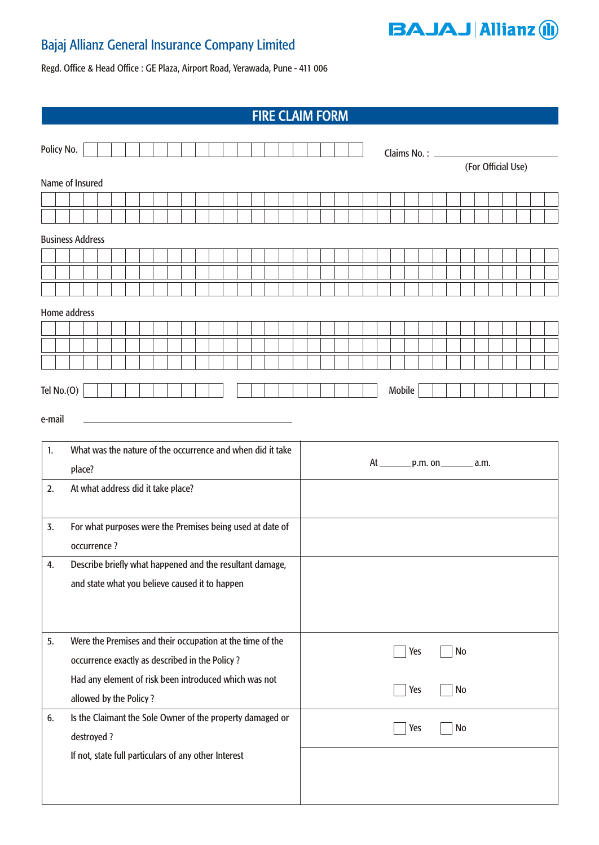## Bajaj Allianz General Insurance Company Limited



Regd. Office & Head Office : GE Plaza, Airport Road, Yerawada, Pune - 411 006

|                         | <b>FIRE CLAIM FORM</b>                                                          |             |  |  |  |           |           |  |                                                                                                                      |  |                    |  |  |  |        |                                      |  |  |                  |  |  |  |  |  |  |  |  |  |  |  |  |  |  |
|-------------------------|---------------------------------------------------------------------------------|-------------|--|--|--|-----------|-----------|--|----------------------------------------------------------------------------------------------------------------------|--|--------------------|--|--|--|--------|--------------------------------------|--|--|------------------|--|--|--|--|--|--|--|--|--|--|--|--|--|--|
|                         | Policy No.                                                                      |             |  |  |  |           |           |  |                                                                                                                      |  |                    |  |  |  |        |                                      |  |  |                  |  |  |  |  |  |  |  |  |  |  |  |  |  |  |
|                         |                                                                                 |             |  |  |  |           |           |  |                                                                                                                      |  | (For Official Use) |  |  |  |        |                                      |  |  |                  |  |  |  |  |  |  |  |  |  |  |  |  |  |  |
|                         | Name of Insured                                                                 |             |  |  |  |           |           |  |                                                                                                                      |  |                    |  |  |  |        |                                      |  |  |                  |  |  |  |  |  |  |  |  |  |  |  |  |  |  |
|                         |                                                                                 |             |  |  |  |           |           |  |                                                                                                                      |  |                    |  |  |  |        |                                      |  |  |                  |  |  |  |  |  |  |  |  |  |  |  |  |  |  |
|                         |                                                                                 |             |  |  |  |           |           |  |                                                                                                                      |  |                    |  |  |  |        |                                      |  |  |                  |  |  |  |  |  |  |  |  |  |  |  |  |  |  |
| <b>Business Address</b> |                                                                                 |             |  |  |  |           |           |  |                                                                                                                      |  |                    |  |  |  |        |                                      |  |  |                  |  |  |  |  |  |  |  |  |  |  |  |  |  |  |
|                         |                                                                                 |             |  |  |  |           |           |  |                                                                                                                      |  |                    |  |  |  |        |                                      |  |  |                  |  |  |  |  |  |  |  |  |  |  |  |  |  |  |
|                         |                                                                                 |             |  |  |  |           |           |  |                                                                                                                      |  |                    |  |  |  |        |                                      |  |  |                  |  |  |  |  |  |  |  |  |  |  |  |  |  |  |
|                         | Home address                                                                    |             |  |  |  |           |           |  |                                                                                                                      |  |                    |  |  |  |        |                                      |  |  |                  |  |  |  |  |  |  |  |  |  |  |  |  |  |  |
|                         |                                                                                 |             |  |  |  |           |           |  |                                                                                                                      |  |                    |  |  |  |        |                                      |  |  |                  |  |  |  |  |  |  |  |  |  |  |  |  |  |  |
|                         |                                                                                 |             |  |  |  |           |           |  |                                                                                                                      |  |                    |  |  |  |        |                                      |  |  |                  |  |  |  |  |  |  |  |  |  |  |  |  |  |  |
|                         |                                                                                 |             |  |  |  |           |           |  |                                                                                                                      |  |                    |  |  |  |        |                                      |  |  |                  |  |  |  |  |  |  |  |  |  |  |  |  |  |  |
|                         | Tel $No.(O)$                                                                    |             |  |  |  |           |           |  |                                                                                                                      |  |                    |  |  |  | Mobile |                                      |  |  |                  |  |  |  |  |  |  |  |  |  |  |  |  |  |  |
| e-mail                  |                                                                                 |             |  |  |  |           |           |  | <u> 1989 - Johann Barn, mars eta bainar eta bainar eta baina eta baina eta baina eta baina eta baina eta baina e</u> |  |                    |  |  |  |        |                                      |  |  |                  |  |  |  |  |  |  |  |  |  |  |  |  |  |  |
|                         |                                                                                 |             |  |  |  |           |           |  |                                                                                                                      |  |                    |  |  |  |        |                                      |  |  |                  |  |  |  |  |  |  |  |  |  |  |  |  |  |  |
|                         | What was the nature of the occurrence and when did it take<br>1.                |             |  |  |  |           |           |  |                                                                                                                      |  |                    |  |  |  |        | At __________ p.m. on _________ a.m. |  |  |                  |  |  |  |  |  |  |  |  |  |  |  |  |  |  |
|                         |                                                                                 | place?      |  |  |  |           |           |  | At what address did it take place?                                                                                   |  |                    |  |  |  |        |                                      |  |  |                  |  |  |  |  |  |  |  |  |  |  |  |  |  |  |
| 2.                      |                                                                                 |             |  |  |  |           |           |  |                                                                                                                      |  |                    |  |  |  |        |                                      |  |  |                  |  |  |  |  |  |  |  |  |  |  |  |  |  |  |
| 3.                      | For what purposes were the Premises being used at date of                       |             |  |  |  |           |           |  |                                                                                                                      |  |                    |  |  |  |        |                                      |  |  |                  |  |  |  |  |  |  |  |  |  |  |  |  |  |  |
|                         |                                                                                 | occurrence? |  |  |  |           |           |  |                                                                                                                      |  |                    |  |  |  |        |                                      |  |  |                  |  |  |  |  |  |  |  |  |  |  |  |  |  |  |
| 4.                      | Describe briefly what happened and the resultant damage,                        |             |  |  |  |           |           |  |                                                                                                                      |  |                    |  |  |  |        |                                      |  |  |                  |  |  |  |  |  |  |  |  |  |  |  |  |  |  |
|                         |                                                                                 |             |  |  |  |           |           |  | and state what you believe caused it to happen                                                                       |  |                    |  |  |  |        |                                      |  |  |                  |  |  |  |  |  |  |  |  |  |  |  |  |  |  |
|                         |                                                                                 |             |  |  |  |           |           |  |                                                                                                                      |  |                    |  |  |  |        |                                      |  |  |                  |  |  |  |  |  |  |  |  |  |  |  |  |  |  |
|                         |                                                                                 |             |  |  |  |           |           |  |                                                                                                                      |  |                    |  |  |  |        |                                      |  |  |                  |  |  |  |  |  |  |  |  |  |  |  |  |  |  |
| 5.                      |                                                                                 |             |  |  |  |           |           |  | Were the Premises and their occupation at the time of the                                                            |  |                    |  |  |  |        |                                      |  |  | <b>No</b><br>Yes |  |  |  |  |  |  |  |  |  |  |  |  |  |  |
|                         | occurrence exactly as described in the Policy?                                  |             |  |  |  |           |           |  |                                                                                                                      |  |                    |  |  |  |        |                                      |  |  |                  |  |  |  |  |  |  |  |  |  |  |  |  |  |  |
|                         | Had any element of risk been introduced which was not<br>allowed by the Policy? |             |  |  |  | Yes<br>No |           |  |                                                                                                                      |  |                    |  |  |  |        |                                      |  |  |                  |  |  |  |  |  |  |  |  |  |  |  |  |  |  |
| 6.                      |                                                                                 |             |  |  |  |           |           |  |                                                                                                                      |  |                    |  |  |  |        |                                      |  |  |                  |  |  |  |  |  |  |  |  |  |  |  |  |  |  |
|                         | Is the Claimant the Sole Owner of the property damaged or<br>destroyed?         |             |  |  |  |           | No<br>Yes |  |                                                                                                                      |  |                    |  |  |  |        |                                      |  |  |                  |  |  |  |  |  |  |  |  |  |  |  |  |  |  |
|                         |                                                                                 |             |  |  |  |           |           |  | If not, state full particulars of any other Interest                                                                 |  |                    |  |  |  |        |                                      |  |  |                  |  |  |  |  |  |  |  |  |  |  |  |  |  |  |
|                         |                                                                                 |             |  |  |  |           |           |  |                                                                                                                      |  |                    |  |  |  |        |                                      |  |  |                  |  |  |  |  |  |  |  |  |  |  |  |  |  |  |
|                         |                                                                                 |             |  |  |  |           |           |  |                                                                                                                      |  |                    |  |  |  |        |                                      |  |  |                  |  |  |  |  |  |  |  |  |  |  |  |  |  |  |